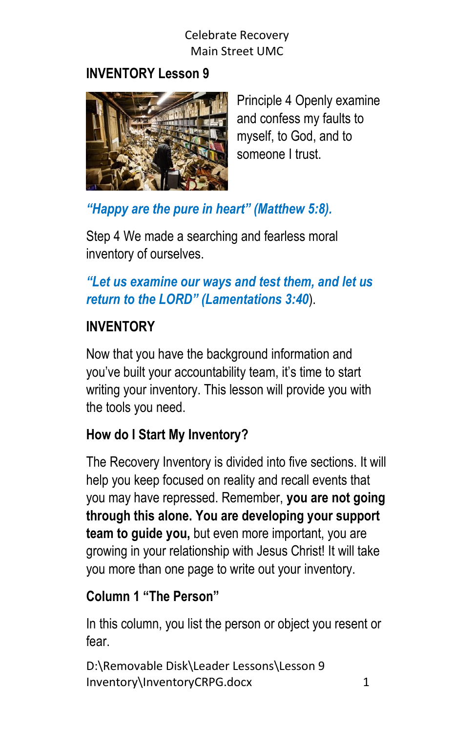## **INVENTORY Lesson 9**



Principle 4 Openly examine and confess my faults to myself, to God, and to someone I trust.

*"Happy are the pure in heart" (Matthew 5:8).*

Step 4 We made a searching and fearless moral inventory of ourselves.

# *"Let us examine our ways and test them, and let us return to the LORD" (Lamentations 3:40*).

# **INVENTORY**

Now that you have the background information and you've built your accountability team, it's time to start writing your inventory. This lesson will provide you with the tools you need.

# **How do I Start My Inventory?**

The Recovery Inventory is divided into five sections. It will help you keep focused on reality and recall events that you may have repressed. Remember, **you are not going through this alone. You are developing your support team to guide you,** but even more important, you are growing in your relationship with Jesus Christ! It will take you more than one page to write out your inventory.

#### **Column 1 "The Person"**

In this column, you list the person or object you resent or fear.

```
D:\Removable Disk\Leader Lessons\Lesson 9 
Inventory\InventoryCRPG.docx 1
```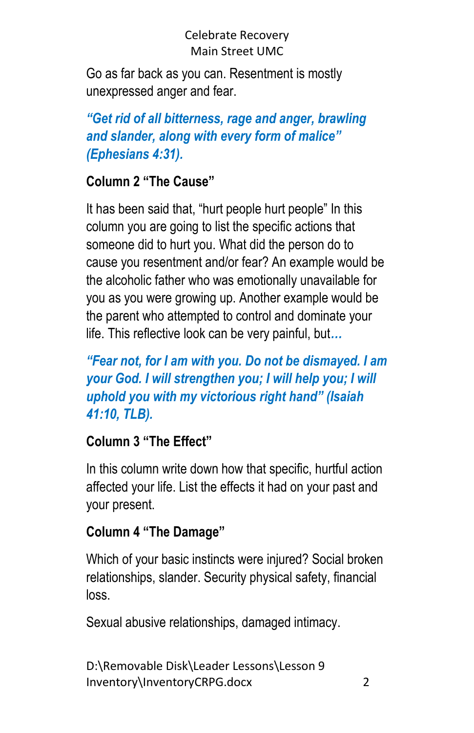Go as far back as you can. Resentment is mostly unexpressed anger and fear.

*"Get rid of all bitterness, rage and anger, brawling and slander, along with every form of malice" (Ephesians 4:31).*

## **Column 2 "The Cause"**

It has been said that, "hurt people hurt people" In this column you are going to list the specific actions that someone did to hurt you. What did the person do to cause you resentment and/or fear? An example would be the alcoholic father who was emotionally unavailable for you as you were growing up. Another example would be the parent who attempted to control and dominate your life. This reflective look can be very painful, but*…*

*"Fear not, for I am with you. Do not be dismayed. I am your God. I will strengthen you; I will help you; I will uphold you with my victorious right hand" (Isaiah 41:10, TLB).*

# **Column 3 "The Effect"**

In this column write down how that specific, hurtful action affected your life. List the effects it had on your past and your present.

# **Column 4 "The Damage"**

Which of your basic instincts were injured? Social broken relationships, slander. Security physical safety, financial loss.

Sexual abusive relationships, damaged intimacy.

```
D:\Removable Disk\Leader Lessons\Lesson 9 
Inventory\InventoryCRPG.docx 2
```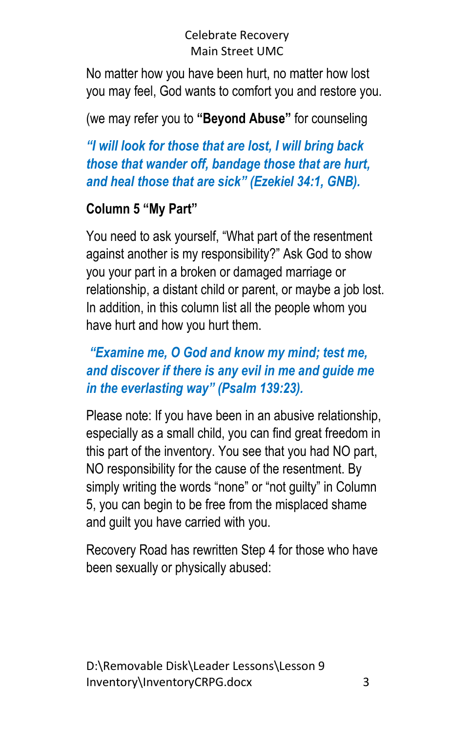No matter how you have been hurt, no matter how lost you may feel, God wants to comfort you and restore you.

# (we may refer you to **"Beyond Abuse"** for counseling

*"I will look for those that are lost, I will bring back those that wander off, bandage those that are hurt, and heal those that are sick" (Ezekiel 34:1, GNB).*

## **Column 5 "My Part"**

You need to ask yourself, "What part of the resentment against another is my responsibility?" Ask God to show you your part in a broken or damaged marriage or relationship, a distant child or parent, or maybe a job lost. In addition, in this column list all the people whom you have hurt and how you hurt them.

## *"Examine me, O God and know my mind; test me, and discover if there is any evil in me and guide me in the everlasting way" (Psalm 139:23).*

Please note: If you have been in an abusive relationship, especially as a small child, you can find great freedom in this part of the inventory. You see that you had NO part, NO responsibility for the cause of the resentment. By simply writing the words "none" or "not guilty" in Column 5, you can begin to be free from the misplaced shame and guilt you have carried with you.

Recovery Road has rewritten Step 4 for those who have been sexually or physically abused: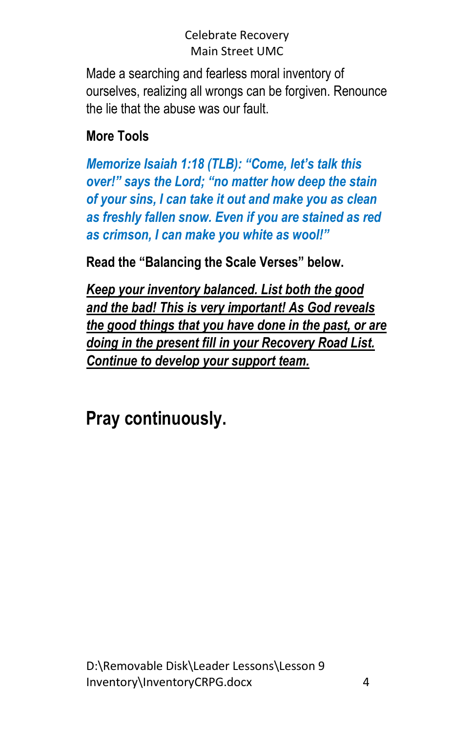Made a searching and fearless moral inventory of ourselves, realizing all wrongs can be forgiven. Renounce the lie that the abuse was our fault.

# **More Tools**

*Memorize Isaiah 1:18 (TLB): "Come, let's talk this over!" says the Lord; "no matter how deep the stain of your sins, I can take it out and make you as clean as freshly fallen snow. Even if you are stained as red as crimson, I can make you white as wool!"*

**Read the "Balancing the Scale Verses" below.**

*Keep your inventory balanced. List both the good and the bad! This is very important! As God reveals the good things that you have done in the past, or are doing in the present fill in your Recovery Road List. Continue to develop your support team.*

**Pray continuously.**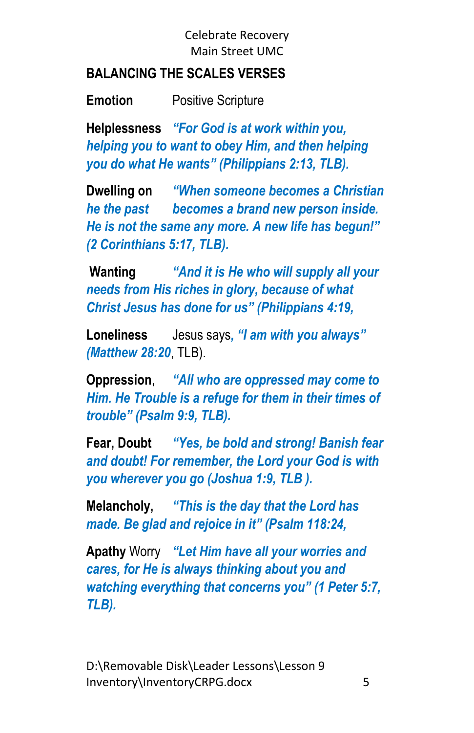#### **BALANCING THE SCALES VERSES**

**Emotion** Positive Scripture

**Helplessness** *"For God is at work within you, helping you to want to obey Him, and then helping you do what He wants" (Philippians 2:13, TLB).*

**Dwelling on** *"When someone becomes a Christian he the past becomes a brand new person inside. He is not the same any more. A new life has begun!" (2 Corinthians 5:17, TLB).*

**Wanting** *"And it is He who will supply all your needs from His riches in glory, because of what Christ Jesus has done for us" (Philippians 4:19,*

**Loneliness** Jesus says*, "I am with you always" (Matthew 28:20*, TLB).

**Oppression**, *"All who are oppressed may come to Him. He Trouble is a refuge for them in their times of trouble" (Psalm 9:9, TLB).*

**Fear, Doubt** *"Yes, be bold and strong! Banish fear and doubt! For remember, the Lord your God is with you wherever you go (Joshua 1:9, TLB ).*

**Melancholy,** *"This is the day that the Lord has made. Be glad and rejoice in it" (Psalm 118:24,*

**Apathy** Worry *"Let Him have all your worries and cares, for He is always thinking about you and watching everything that concerns you" (1 Peter 5:7, TLB).*

D:\Removable Disk\Leader Lessons\Lesson 9 Inventory\InventoryCRPG.docx 5